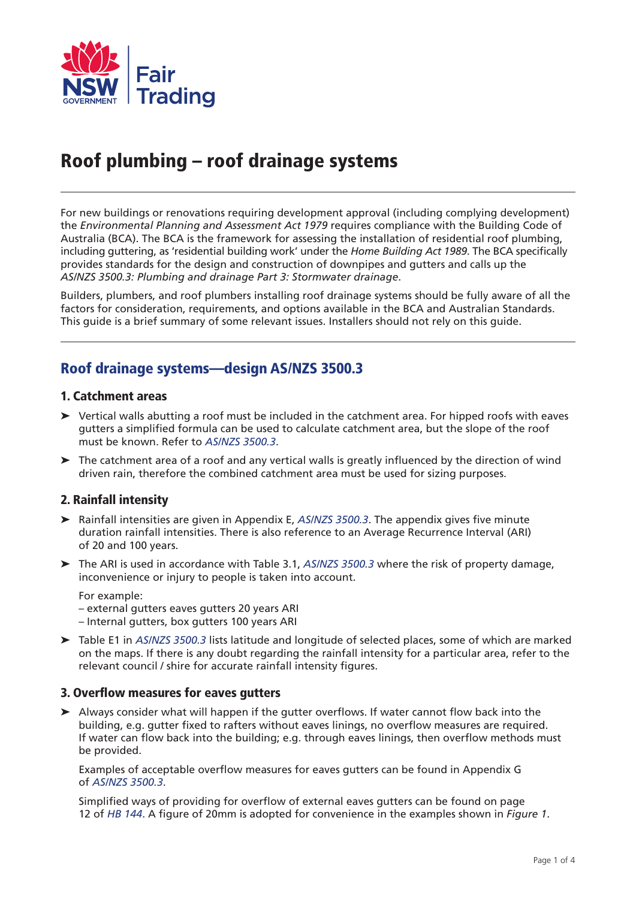

# Roof plumbing – roof drainage systems

For new buildings or renovations requiring development approval (including complying development) the *Environmental Planning and Assessment Act 1979* requires compliance with the Building Code of Australia (BCA). The BCA is the framework for assessing the installation of residential roof plumbing, including guttering, as 'residential building work' under the *Home Building Act 1989*. The BCA specifically provides standards for the design and construction of downpipes and gutters and calls up the *AS/NZS 3500.3: Plumbing and drainage Part 3: Stormwater drainage*.

Builders, plumbers, and roof plumbers installing roof drainage systems should be fully aware of all the factors for consideration, requirements, and options available in the BCA and Australian Standards. This guide is a brief summary of some relevant issues. Installers should not rely on this guide.

## Roof drainage systems—design AS/NZS 3500.3

## 1. Catchment areas

- ➤ Vertical walls abutting a roof must be included in the catchment area. For hipped roofs with eaves gutters a simplified formula can be used to calculate catchment area, but the slope of the roof must be known. Refer to *AS/NZS 3500.3*.
- ➤ The catchment area of a roof and any vertical walls is greatly influenced by the direction of wind driven rain, therefore the combined catchment area must be used for sizing purposes.

## 2. Rainfall intensity

- ➤ Rainfall intensities are given in Appendix E, *AS/NZS 3500.3*. The appendix gives five minute duration rainfall intensities. There is also reference to an Average Recurrence Interval (ARI) of 20 and 100 years.
- ➤ The ARI is used in accordance with Table 3.1, *AS/NZS 3500.3* where the risk of property damage, inconvenience or injury to people is taken into account.

For example:

- external gutters eaves gutters 20 years ARI
- Internal gutters, box gutters 100 years ARI
- ➤ Table E1 in *AS/NZS 3500.3* lists latitude and longitude of selected places, some of which are marked on the maps. If there is any doubt regarding the rainfall intensity for a particular area, refer to the relevant council / shire for accurate rainfall intensity figures.

## 3. Overflow measures for eaves gutters

➤ Always consider what will happen if the gutter overflows. If water cannot flow back into the building, e.g. gutter fixed to rafters without eaves linings, no overflow measures are required. If water can flow back into the building; e.g. through eaves linings, then overflow methods must be provided.

Examples of acceptable overflow measures for eaves gutters can be found in Appendix G of *AS/NZS 3500.3*.

Simplified ways of providing for overflow of external eaves gutters can be found on page 12 of *HB 144*. A figure of 20mm is adopted for convenience in the examples shown in *Figure 1*.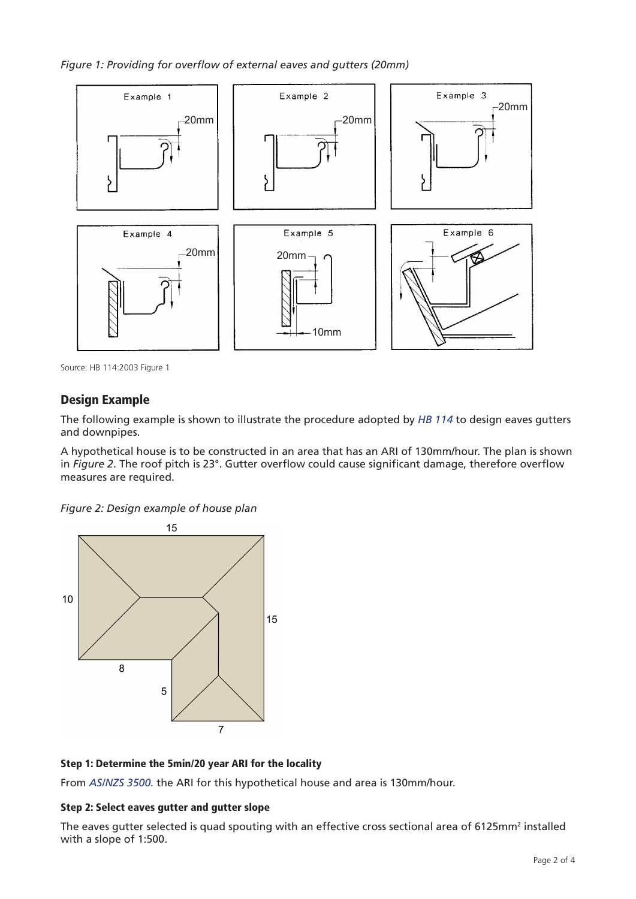*Figure 1: Providing for overflow of external eaves and gutters (20mm)*



Source: HB 114:2003 Figure 1

## Design Example

The following example is shown to illustrate the procedure adopted by *HB 114* to design eaves gutters and downpipes.

A hypothetical house is to be constructed in an area that has an ARI of 130mm/hour. The plan is shown A hypothetical house is to be constructed in an area that has an AM or TS01111111001. The plan is show<br>In *Figure 2*. The roof pitch is 23°. Gutter overflow could cause significant damage, therefore overflow measures are required.

*Figure 2: Design example of house plan FIGURE 4 - DESIGN EXAMPLE HOUSE PLAN*



## Step 1: Determine the 5min/20 year ARI for the locality

From *AS/NZS 3500.* the ARI for this hypothetical house and area is 130mm/hour.

## Step 2: Select eaves gutter and gutter slope

The eaves gutter selected is quad spouting with an effective cross sectional area of 6125mm<sup>2</sup> installed with a slope of 1:500.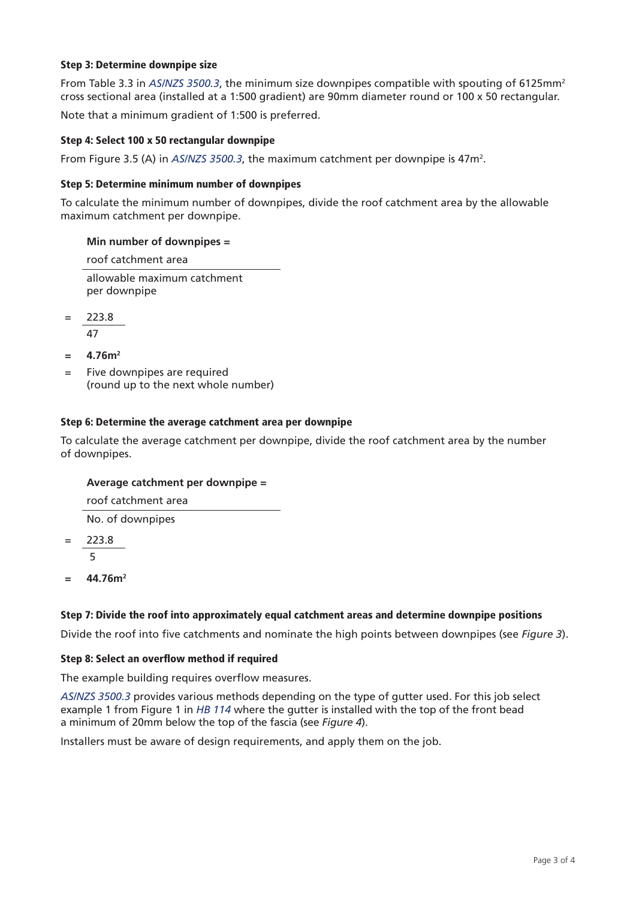#### Step 3: Determine downpipe size

From Table 3.3 in *AS/NZS 3500.3*, the minimum size downpipes compatible with spouting of 6125mm2 cross sectional area (installed at a 1:500 gradient) are 90mm diameter round or 100 x 50 rectangular.

Note that a minimum gradient of 1:500 is preferred.

#### Step 4: Select 100 x 50 rectangular downpipe

From Figure 3.5 (A) in  $\it AS/NZS}$  3500.3, the maximum catchment per downpipe is 47m<sup>2</sup>.

#### Step 5: Determine minimum number of downpipes

To calculate the minimum number of downpipes, divide the roof catchment area by the allowable maximum catchment per downpipe.

#### **Min number of downpipes =**

roof catchment area

allowable maximum catchment per downpipe

= 223.8 47

 $= 4.76m<sup>2</sup>$ 

= Five downpipes are required (round up to the next whole number)

#### Step 6: Determine the average catchment area per downpipe

To calculate the average catchment per downpipe, divide the roof catchment area by the number of downpipes.

#### **Average catchment per downpipe =**

roof catchment area

No. of downpipes

- $= 223.8$ 5
- $= 44.76$ m<sup>2</sup>

#### Step 7: Divide the roof into approximately equal catchment areas and determine downpipe positions

Divide the roof into five catchments and nominate the high points between downpipes (see *Figure 3*).

#### Step 8: Select an overflow method if required

The example building requires overflow measures.

*AS/NZS 3500.3* provides various methods depending on the type of gutter used. For this job select example 1 from Figure 1 in *HB 114* where the gutter is installed with the top of the front bead a minimum of 20mm below the top of the fascia (see *Figure 4*).

Installers must be aware of design requirements, and apply them on the job.